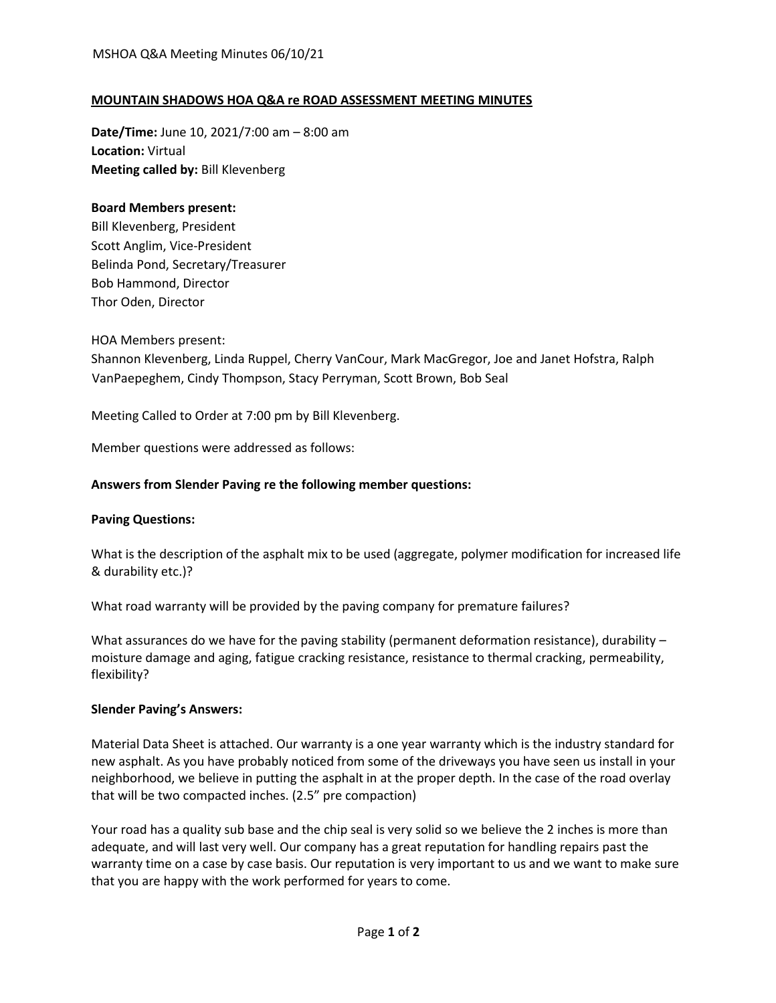# **MOUNTAIN SHADOWS HOA Q&A re ROAD ASSESSMENT MEETING MINUTES**

**Date/Time:** June 10, 2021/7:00 am – 8:00 am **Location:** Virtual **Meeting called by:** Bill Klevenberg

## **Board Members present:**

Bill Klevenberg, President Scott Anglim, Vice-President Belinda Pond, Secretary/Treasurer Bob Hammond, Director Thor Oden, Director

HOA Members present:

Shannon Klevenberg, Linda Ruppel, Cherry VanCour, Mark MacGregor, Joe and Janet Hofstra, Ralph VanPaepeghem, Cindy Thompson, Stacy Perryman, Scott Brown, Bob Seal

Meeting Called to Order at 7:00 pm by Bill Klevenberg.

Member questions were addressed as follows:

### **Answers from Slender Paving re the following member questions:**

#### **Paving Questions:**

What is the description of the asphalt mix to be used (aggregate, polymer modification for increased life & durability etc.)?

What road warranty will be provided by the paving company for premature failures?

What assurances do we have for the paving stability (permanent deformation resistance), durability – moisture damage and aging, fatigue cracking resistance, resistance to thermal cracking, permeability, flexibility?

#### **Slender Paving's Answers:**

Material Data Sheet is attached. Our warranty is a one year warranty which is the industry standard for new asphalt. As you have probably noticed from some of the driveways you have seen us install in your neighborhood, we believe in putting the asphalt in at the proper depth. In the case of the road overlay that will be two compacted inches. (2.5" pre compaction)

Your road has a quality sub base and the chip seal is very solid so we believe the 2 inches is more than adequate, and will last very well. Our company has a great reputation for handling repairs past the warranty time on a case by case basis. Our reputation is very important to us and we want to make sure that you are happy with the work performed for years to come.